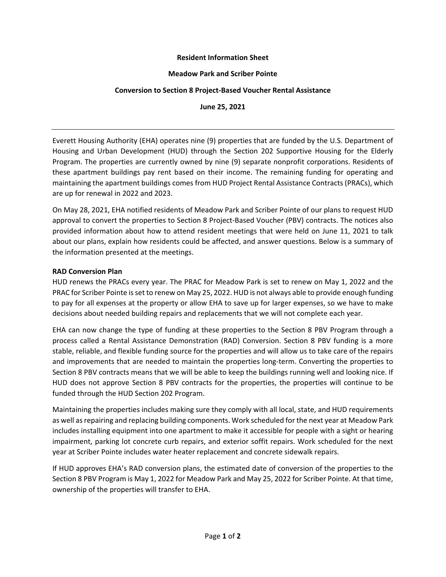# **Resident Information Sheet**

### **Meadow Park and Scriber Pointe**

# **Conversion to Section 8 Project-Based Voucher Rental Assistance**

**June 25, 2021**

Everett Housing Authority (EHA) operates nine (9) properties that are funded by the U.S. Department of Housing and Urban Development (HUD) through the Section 202 Supportive Housing for the Elderly Program. The properties are currently owned by nine (9) separate nonprofit corporations. Residents of these apartment buildings pay rent based on their income. The remaining funding for operating and maintaining the apartment buildings comes from HUD Project Rental Assistance Contracts (PRACs), which are up for renewal in 2022 and 2023.

On May 28, 2021, EHA notified residents of Meadow Park and Scriber Pointe of our plans to request HUD approval to convert the properties to Section 8 Project-Based Voucher (PBV) contracts. The notices also provided information about how to attend resident meetings that were held on June 11, 2021 to talk about our plans, explain how residents could be affected, and answer questions. Below is a summary of the information presented at the meetings.

# **RAD Conversion Plan**

HUD renews the PRACs every year. The PRAC for Meadow Park is set to renew on May 1, 2022 and the PRAC for Scriber Pointe is set to renew on May 25, 2022. HUD is not always able to provide enough funding to pay for all expenses at the property or allow EHA to save up for larger expenses, so we have to make decisions about needed building repairs and replacements that we will not complete each year.

EHA can now change the type of funding at these properties to the Section 8 PBV Program through a process called a Rental Assistance Demonstration (RAD) Conversion. Section 8 PBV funding is a more stable, reliable, and flexible funding source for the properties and will allow us to take care of the repairs and improvements that are needed to maintain the properties long-term. Converting the properties to Section 8 PBV contracts means that we will be able to keep the buildings running well and looking nice. If HUD does not approve Section 8 PBV contracts for the properties, the properties will continue to be funded through the HUD Section 202 Program.

Maintaining the properties includes making sure they comply with all local, state, and HUD requirements as well as repairing and replacing building components. Work scheduled for the next year at Meadow Park includes installing equipment into one apartment to make it accessible for people with a sight or hearing impairment, parking lot concrete curb repairs, and exterior soffit repairs. Work scheduled for the next year at Scriber Pointe includes water heater replacement and concrete sidewalk repairs.

If HUD approves EHA's RAD conversion plans, the estimated date of conversion of the properties to the Section 8 PBV Program is May 1, 2022 for Meadow Park and May 25, 2022 for Scriber Pointe. At that time, ownership of the properties will transfer to EHA.